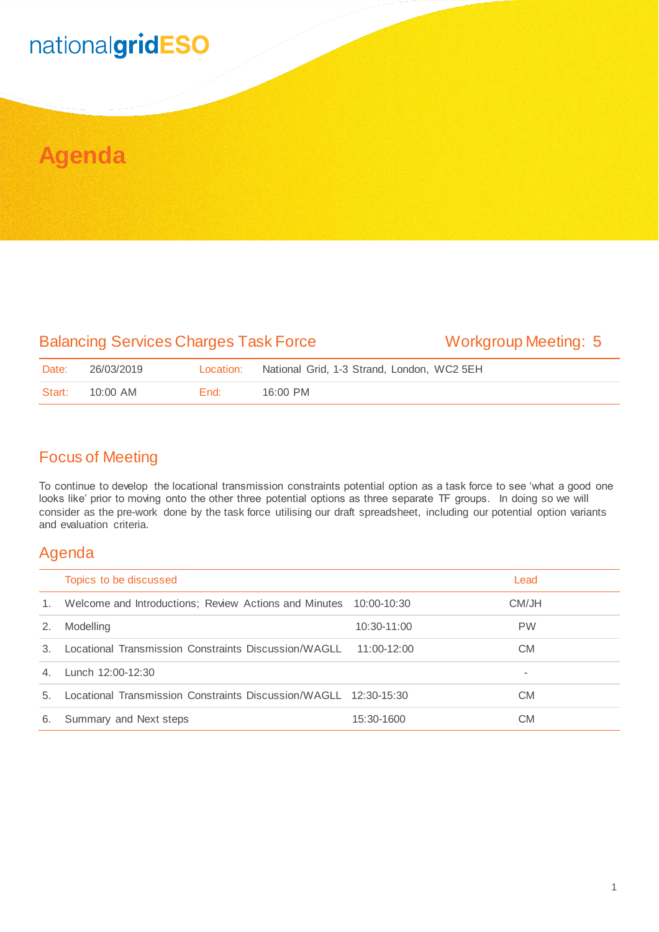# nationalgridESO

## **Agenda**

#### Balancing Services Charges Task Force Workgroup Meeting: 5

| Date:  | 26/03/2019 | Location: | National Grid, 1-3 Strand, London, WC2 5EH |
|--------|------------|-----------|--------------------------------------------|
| Start: | 10:00 AM   | End:      | $16:00$ PM                                 |

#### Focus of Meeting

To continue to develop the locational transmission constraints potential option as a task force to see 'what a good one looks like' prior to moving onto the other three potential options as three separate TF groups. In doing so we will consider as the pre-work done by the task force utilising our draft spreadsheet, including our potential option variants and evaluation criteria.

#### Agenda

|                | Topics to be discussed                                            |               | Lead                     |
|----------------|-------------------------------------------------------------------|---------------|--------------------------|
| $1_{-}$        | Welcome and Introductions; Review Actions and Minutes 10:00-10:30 |               | CM/JH                    |
| 2.             | Modelling                                                         | 10:30-11:00   | <b>PW</b>                |
| 3              | Locational Transmission Constraints Discussion/WAGLL              | $11:00-12:00$ | <b>CM</b>                |
| $\mathbf{4}$ . | Lunch 12:00-12:30                                                 |               | $\overline{\phantom{a}}$ |
| 5.             | Locational Transmission Constraints Discussion/WAGLL 12:30-15:30  |               | <b>CM</b>                |
| 6.             | Summary and Next steps                                            | 15:30-1600    | CМ                       |